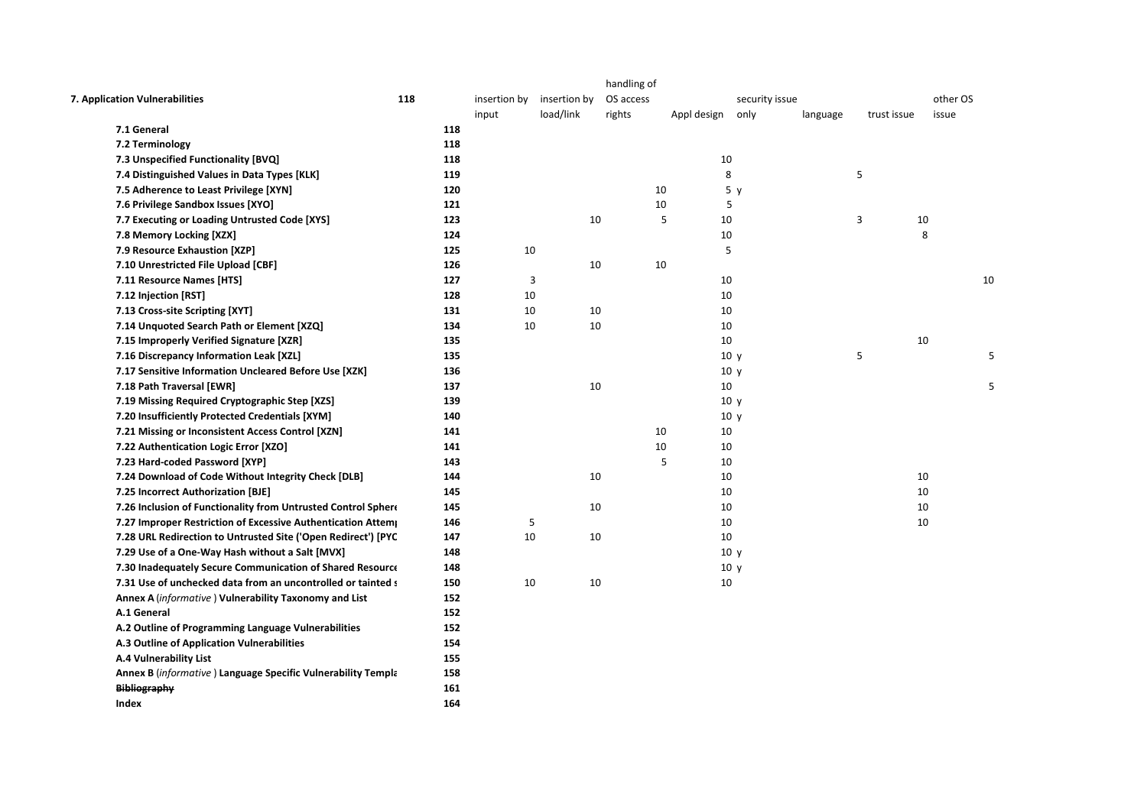| 7. Application Vulnerabilities                                | 118        | insertion by | insertion by | handling of<br>OS access |    |             | security issue  |          |             | other OS |    |
|---------------------------------------------------------------|------------|--------------|--------------|--------------------------|----|-------------|-----------------|----------|-------------|----------|----|
|                                                               |            | input        | load/link    | rights                   |    | Appl design | only            | language | trust issue | issue    |    |
| 7.1 General<br>7.2 Terminology                                | 118<br>118 |              |              |                          |    |             |                 |          |             |          |    |
| 7.3 Unspecified Functionality [BVQ]                           | 118        |              |              |                          |    | 10          |                 |          |             |          |    |
| 7.4 Distinguished Values in Data Types [KLK]                  | 119        |              |              |                          |    | 8           |                 |          | 5           |          |    |
|                                                               | 120        |              |              |                          | 10 |             | 5 <sub>y</sub>  |          |             |          |    |
| 7.5 Adherence to Least Privilege [XYN]                        | 121        |              |              |                          | 10 | 5           |                 |          |             |          |    |
| 7.6 Privilege Sandbox Issues [XYO]                            | 123        |              | 10           |                          | 5  | 10          |                 |          | 3           | 10       |    |
| 7.7 Executing or Loading Untrusted Code [XYS]                 |            |              |              |                          |    |             |                 |          |             | 8        |    |
| 7.8 Memory Locking [XZX]                                      | 124        |              |              |                          |    | 10<br>5     |                 |          |             |          |    |
| 7.9 Resource Exhaustion [XZP]                                 | 125        |              | 10           |                          |    |             |                 |          |             |          |    |
| 7.10 Unrestricted File Upload [CBF]                           | 126        |              | 10           |                          | 10 |             |                 |          |             |          |    |
| 7.11 Resource Names [HTS]                                     | 127        |              | 3            |                          |    | 10          |                 |          |             |          | 10 |
| 7.12 Injection [RST]                                          | 128        |              | 10           |                          |    | 10          |                 |          |             |          |    |
| 7.13 Cross-site Scripting [XYT]                               | 131        |              | 10<br>10     |                          |    | 10          |                 |          |             |          |    |
| 7.14 Unquoted Search Path or Element [XZQ]                    | 134        |              | 10<br>10     |                          |    | 10          |                 |          |             |          |    |
| 7.15 Improperly Verified Signature [XZR]                      | 135        |              |              |                          |    | 10          |                 |          |             | 10       |    |
| 7.16 Discrepancy Information Leak [XZL]                       | 135        |              |              |                          |    |             | 10 <sub>y</sub> |          | 5           |          |    |
| 7.17 Sensitive Information Uncleared Before Use [XZK]         | 136        |              |              |                          |    |             | 10 y            |          |             |          |    |
| 7.18 Path Traversal [EWR]                                     | 137        |              | 10           |                          |    | 10          |                 |          |             |          |    |
| 7.19 Missing Required Cryptographic Step [XZS]                | 139        |              |              |                          |    |             | 10 <sub>y</sub> |          |             |          |    |
| 7.20 Insufficiently Protected Credentials [XYM]               | 140        |              |              |                          |    |             | 10 <sub>y</sub> |          |             |          |    |
| 7.21 Missing or Inconsistent Access Control [XZN]             | 141        |              |              |                          | 10 | 10          |                 |          |             |          |    |
| 7.22 Authentication Logic Error [XZO]                         | 141        |              |              |                          | 10 | 10          |                 |          |             |          |    |
| 7.23 Hard-coded Password [XYP]                                | 143        |              |              |                          | 5  | 10          |                 |          |             |          |    |
| 7.24 Download of Code Without Integrity Check [DLB]           | 144        |              | 10           |                          |    | 10          |                 |          |             | 10       |    |
| 7.25 Incorrect Authorization [BJE]                            | 145        |              |              |                          |    | 10          |                 |          |             | 10       |    |
| 7.26 Inclusion of Functionality from Untrusted Control Sphere | 145        |              | 10           |                          |    | 10          |                 |          |             | 10       |    |
| 7.27 Improper Restriction of Excessive Authentication Attem   | 146        |              | 5            |                          |    | 10          |                 |          |             | 10       |    |
| 7.28 URL Redirection to Untrusted Site ('Open Redirect') [PYC | 147        |              | 10<br>10     |                          |    | 10          |                 |          |             |          |    |
| 7.29 Use of a One-Way Hash without a Salt [MVX]               | 148        |              |              |                          |    |             | 10 <sub>y</sub> |          |             |          |    |
| 7.30 Inadequately Secure Communication of Shared Resource     | 148        |              |              |                          |    |             | 10 <sub>y</sub> |          |             |          |    |
| 7.31 Use of unchecked data from an uncontrolled or tainted s  | 150        |              | 10<br>10     |                          |    | 10          |                 |          |             |          |    |
| Annex A (informative) Vulnerability Taxonomy and List         | 152        |              |              |                          |    |             |                 |          |             |          |    |
| A.1 General                                                   | 152        |              |              |                          |    |             |                 |          |             |          |    |
| A.2 Outline of Programming Language Vulnerabilities           | 152        |              |              |                          |    |             |                 |          |             |          |    |
| A.3 Outline of Application Vulnerabilities                    | 154        |              |              |                          |    |             |                 |          |             |          |    |
| <b>A.4 Vulnerability List</b>                                 | 155        |              |              |                          |    |             |                 |          |             |          |    |
| Annex B (informative) Language Specific Vulnerability Templa  | 158        |              |              |                          |    |             |                 |          |             |          |    |
| <b>Bibliography</b>                                           | 161        |              |              |                          |    |             |                 |          |             |          |    |
| Index                                                         | 164        |              |              |                          |    |             |                 |          |             |          |    |